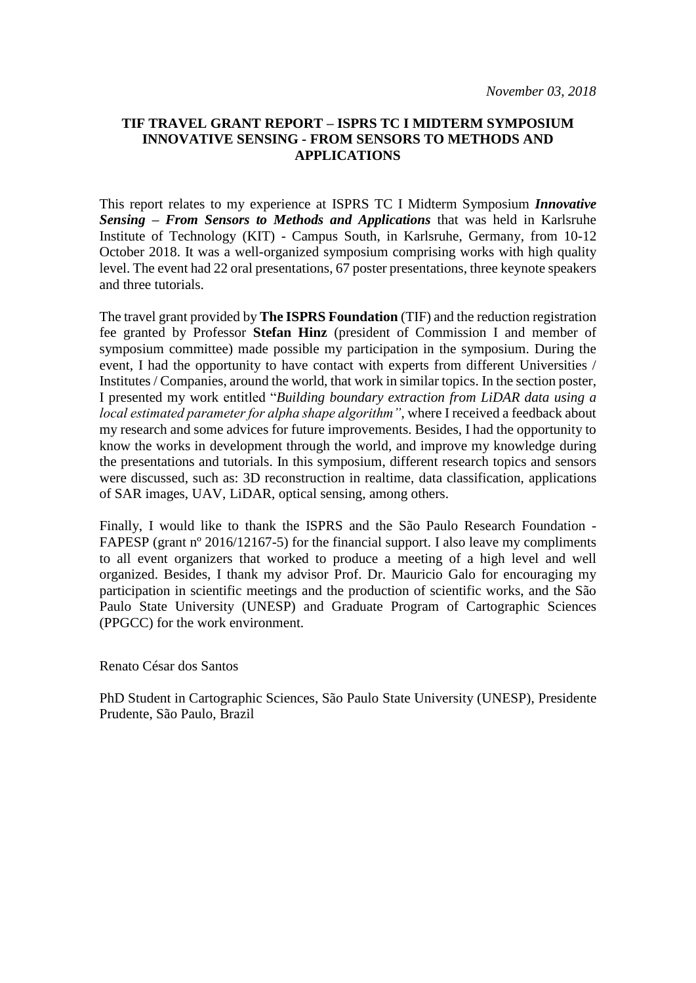## **TIF TRAVEL GRANT REPORT – ISPRS TC I MIDTERM SYMPOSIUM INNOVATIVE SENSING - FROM SENSORS TO METHODS AND APPLICATIONS**

This report relates to my experience at ISPRS TC I Midterm Symposium *Innovative Sensing – From Sensors to Methods and Applications* that was held in Karlsruhe Institute of Technology (KIT) - Campus South, in Karlsruhe, Germany, from 10-12 October 2018. It was a well-organized symposium comprising works with high quality level. The event had 22 oral presentations, 67 poster presentations, three keynote speakers and three tutorials.

The travel grant provided by **The ISPRS Foundation** (TIF) and the reduction registration fee granted by Professor **Stefan Hinz** (president of Commission I and member of symposium committee) made possible my participation in the symposium. During the event, I had the opportunity to have contact with experts from different Universities / Institutes / Companies, around the world, that work in similar topics. In the section poster, I presented my work entitled "*Building boundary extraction from LiDAR data using a local estimated parameter for alpha shape algorithm"*, where I received a feedback about my research and some advices for future improvements. Besides, I had the opportunity to know the works in development through the world, and improve my knowledge during the presentations and tutorials. In this symposium, different research topics and sensors were discussed, such as: 3D reconstruction in realtime, data classification, applications of SAR images, UAV, LiDAR, optical sensing, among others.

Finally, I would like to thank the ISPRS and the São Paulo Research Foundation - FAPESP (grant nº 2016/12167-5) for the financial support. I also leave my compliments to all event organizers that worked to produce a meeting of a high level and well organized. Besides, I thank my advisor Prof. Dr. Mauricio Galo for encouraging my participation in scientific meetings and the production of scientific works, and the São Paulo State University (UNESP) and Graduate Program of Cartographic Sciences (PPGCC) for the work environment.

Renato César dos Santos

PhD Student in Cartographic Sciences, São Paulo State University (UNESP), Presidente Prudente, São Paulo, Brazil